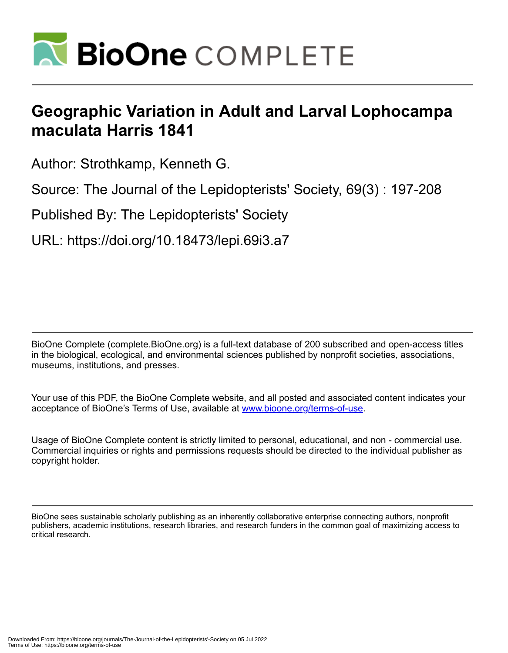

# **Geographic Variation in Adult and Larval Lophocampa maculata Harris 1841**

Author: Strothkamp, Kenneth G.

Source: The Journal of the Lepidopterists' Society, 69(3) : 197-208

Published By: The Lepidopterists' Society

URL: https://doi.org/10.18473/lepi.69i3.a7

BioOne Complete (complete.BioOne.org) is a full-text database of 200 subscribed and open-access titles in the biological, ecological, and environmental sciences published by nonprofit societies, associations, museums, institutions, and presses.

Your use of this PDF, the BioOne Complete website, and all posted and associated content indicates your acceptance of BioOne's Terms of Use, available at www.bioone.org/terms-of-use.

Usage of BioOne Complete content is strictly limited to personal, educational, and non - commercial use. Commercial inquiries or rights and permissions requests should be directed to the individual publisher as copyright holder.

BioOne sees sustainable scholarly publishing as an inherently collaborative enterprise connecting authors, nonprofit publishers, academic institutions, research libraries, and research funders in the common goal of maximizing access to critical research.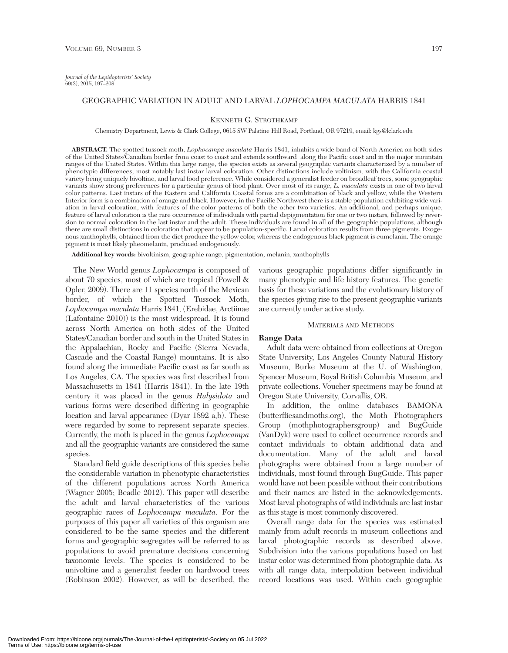# GEOGRAPHIC VARIATION IN ADULT AND LARVAL *LOPHOCAMPA MACULATA* HARRIS 1841

#### KENNETH G. STROTHKAMP

Chemistry Department, Lewis & Clark College, 0615 SW Palatine Hill Road, Portland, OR 97219, email: kgs@lclark.edu

**ABSTRACT.** The spotted tussock moth, *Lophocampa maculata* Harris 1841, inhabits a wide band of North America on both sides of the United States/Canadian border from coast to coast and extends southward along the Pacific coast and in the major mountain ranges of the United States. Within this large range, the species exists as several geographic variants characterized by a number of phenotypic differences, most notably last instar larval coloration. Other distinctions include voltinism, with the California coastal variety being uniquely bivoltine, and larval food preference. While considered a generalist feeder on broadleaf trees, some geographic variants show strong preferences for a particular genus of food plant. Over most of its range, *L. maculata* exists in one of two larval color patterns. Last instars of the Eastern and California Coastal forms are a combination of black and yellow, while the Western Interior form is a combination of orange and black. However, in the Pacific Northwest there is a stable population exhibiting wide variation in larval coloration, with features of the color patterns of both the other two varieties. An additional, and perhaps unique, feature of larval coloration is the rare occurrence of individuals with partial depigmentation for one or two instars, followed by reversion to normal coloration in the last instar and the adult. These individuals are found in all of the geographic populations, although there are small distinctions in coloration that appear to be population-specific. Larval coloration results from three pigments. Exogenous xanthophylls, obtained from the diet produce the yellow color, whereas the endogenous black pigment is eumelanin. The orange pigment is most likely pheomelanin, produced endogenously.

**Additional key words:** bivoltinism, geographic range, pigmentation, melanin, xanthophylls

The New World genus *Lophocampa* is composed of about 70 species, most of which are tropical (Powell & Opler, 2009). There are 11 species north of the Mexican border, of which the Spotted Tussock Moth, *Lophocampa maculata* Harris 1841, (Erebidae, Arctiinae (Lafontaine 2010)) is the most widespread. It is found across North America on both sides of the United States/Canadian border and south in the United States in the Appalachian, Rocky and Pacific (Sierra Nevada, Cascade and the Coastal Range) mountains. It is also found along the immediate Pacific coast as far south as Los Angeles, CA. The species was first described from Massachusetts in 1841 (Harris 1841). In the late 19th century it was placed in the genus *Halysidota* and various forms were described differing in geographic location and larval appearance (Dyar 1892 a,b). These were regarded by some to represent separate species. Currently, the moth is placed in the genus *Lophocampa* and all the geographic variants are considered the same species.

Standard field guide descriptions of this species belie the considerable variation in phenotypic characteristics of the different populations across North America (Wagner 2005; Beadle 2012). This paper will describe the adult and larval characteristics of the various geographic races of *Lophocampa maculata*. For the purposes of this paper all varieties of this organism are considered to be the same species and the different forms and geographic segregates will be referred to as populations to avoid premature decisions concerning taxonomic levels. The species is considered to be univoltine and a generalist feeder on hardwood trees (Robinson 2002). However, as will be described, the various geographic populations differ significantly in many phenotypic and life history features. The genetic basis for these variations and the evolutionary history of the species giving rise to the present geographic variants are currently under active study.

#### MATERIALS AND METHODS

#### **Range Data**

Adult data were obtained from collections at Oregon State University, Los Angeles County Natural History Museum, Burke Museum at the U. of Washington, Spencer Museum, Royal British Columbia Museum, and private collections. Voucher specimens may be found at Oregon State University, Corvallis, OR.

In addition, the online databases BAMONA (butterfliesandmoths.org), the Moth Photographers Group (mothphotographersgroup) and BugGuide (VanDyk) were used to collect occurrence records and contact individuals to obtain additional data and documentation. Many of the adult and larval photographs were obtained from a large number of individuals, most found through BugGuide. This paper would have not been possible without their contributions and their names are listed in the acknowledgements. Most larval photographs of wild individuals are last instar as this stage is most commonly discovered.

Overall range data for the species was estimated mainly from adult records in museum collections and larval photographic records as described above. Subdivision into the various populations based on last instar color was determined from photographic data. As with all range data, interpolation between individual record locations was used. Within each geographic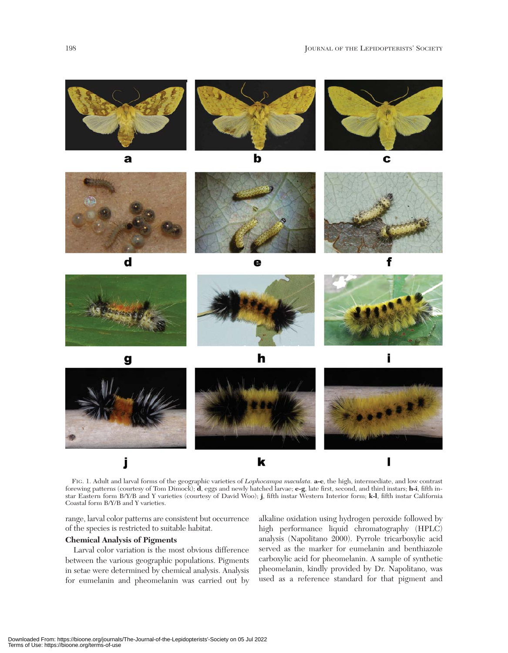





h



FIG. 1. Adult and larval forms of the geographic varieties of *Lophocampa maculata.* **a-c**, the high, intermediate, and low contrast forewing patterns (courtesy of Tom Dimock); **d**, eggs and newly hatched larvae; **e-g**, late first, second, and third instars; **h-i**, fifth instar Eastern form B/Y/B and Y varieties (courtesy of David Woo); **j**, fifth instar Western Interior form; **k-l**, fifth instar California Coastal form B/Y/B and Y varieties.

range, larval color patterns are consistent but occurrence of the species is restricted to suitable habitat.

#### **Chemical Analysis of Pigments**

Larval color variation is the most obvious difference between the various geographic populations. Pigments in setae were determined by chemical analysis. Analysis for eumelanin and pheomelanin was carried out by alkaline oxidation using hydrogen peroxide followed by high performance liquid chromatography (HPLC) analysis (Napolitano 2000). Pyrrole tricarboxylic acid served as the marker for eumelanin and benthiazole carboxylic acid for pheomelanin. A sample of synthetic pheomelanin, kindly provided by Dr. Napolitano, was used as a reference standard for that pigment and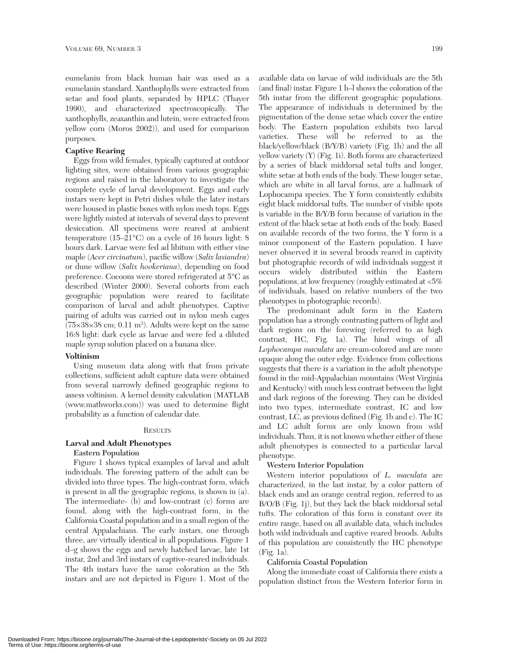eumelanin from black human hair was used as a eumelanin standard. Xanthophylls were extracted from setae and food plants, separated by HPLC (Thayer 1990), and characterized spectroscopically. The xanthophylls, zeaxanthin and lutein, were extracted from yellow corn (Moros 2002)), and used for comparison purposes.

# **Captive Rearing**

Eggs from wild females, typically captured at outdoor lighting sites, were obtained from various geographic regions and raised in the laboratory to investigate the complete cycle of larval development. Eggs and early instars were kept in Petri dishes while the later instars were housed in plastic boxes with nylon mesh tops. Eggs were lightly misted at intervals of several days to prevent desiccation. All specimens were reared at ambient temperature (15–21°C) on a cycle of 16 hours light: 8 hours dark. Larvae were fed ad libitum with either vine maple (*Acer circinatum*), pacific willow (*Salix lasiandra*) or dune willow (*Salix hookeriana*), depending on food preference. Cocoons were stored refrigerated at 5°C as described (Winter 2000). Several cohorts from each geographic population were reared to facilitate comparison of larval and adult phenotypes. Captive pairing of adults was carried out in nylon mesh cages  $(75\times38\times38$  cm; 0.11 m<sup>3</sup>). Adults were kept on the same 16:8 light: dark cycle as larvae and were fed a diluted maple syrup solution placed on a banana slice.

# **Voltinism**

Using museum data along with that from private collections, sufficient adult capture data were obtained from several narrowly defined geographic regions to assess voltinism. A kernel density calculation (MATLAB (www.mathworks.com)) was used to determine flight probability as a function of calendar date.

## **RESULTS**

## **Larval and Adult Phenotypes**

## **Eastern Population**

Figure 1 shows typical examples of larval and adult individuals. The forewing pattern of the adult can be divided into three types. The high-contrast form, which is present in all the geographic regions, is shown in (a). The intermediate- (b) and low-contrast (c) forms are found, along with the high-contrast form, in the California Coastal population and in a small region of the central Appalachians. The early instars, one through three, are virtually identical in all populations. Figure 1 d–g shows the eggs and newly hatched larvae, late 1st instar, 2nd and 3rd instars of captive-reared individuals. The 4th instars have the same coloration as the 5th instars and are not depicted in Figure 1. Most of the

available data on larvae of wild individuals are the 5th (and final) instar. Figure 1 h–l shows the coloration of the 5th instar from the different geographic populations. The appearance of individuals is determined by the pigmentation of the dense setae which cover the entire body. The Eastern population exhibits two larval varieties. These will be referred to as the black/yellow/black (B/Y/B) variety (Fig. 1h) and the all yellow variety (Y) (Fig. 1i). Both forms are characterized by a series of black middorsal setal tufts and longer, white setae at both ends of the body. These longer setae, which are white in all larval forms, are a hallmark of Lophocampa species. The Y form consistently exhibits eight black middorsal tufts. The number of visible spots is variable in the B/Y/B form because of variation in the extent of the black setae at both ends of the body. Based on available records of the two forms, the Y form is a minor component of the Eastern population. I have never observed it in several broods reared in captivity but photographic records of wild individuals suggest it occurs widely distributed within the Eastern populations, at low frequency (roughly estimated at <5% of individuals, based on relative numbers of the two phenotypes in photographic records).

The predominant adult form in the Eastern population has a strongly contrasting pattern of light and dark regions on the forewing (referred to as high contrast, HC, Fig. 1a). The hind wings of all *Lophocampa maculata* are cream-colored and are more opaque along the outer edge. Evidence from collections suggests that there is a variation in the adult phenotype found in the mid-Appalachian mountains (West Virginia and Kentucky) with much less contrast between the light and dark regions of the forewing. They can be divided into two types, intermediate contrast, IC and low contrast, LC, as previous defined (Fig. 1b and c). The IC and LC adult forms are only known from wild individuals. Thus, it is not known whether either of these adult phenotypes is connected to a particular larval phenotype.

## **Western Interior Population**

Western interior populations of *L. maculata* are characterized, in the last instar, by a color pattern of black ends and an orange central region, referred to as B/O/B (Fig. 1j), but they lack the black middorsal setal tufts. The coloration of this form is constant over its entire range, based on all available data, which includes both wild individuals and captive reared broods. Adults of this population are consistently the HC phenotype (Fig. 1a).

## **California Coastal Population**

Along the immediate coast of California there exists a population distinct from the Western Interior form in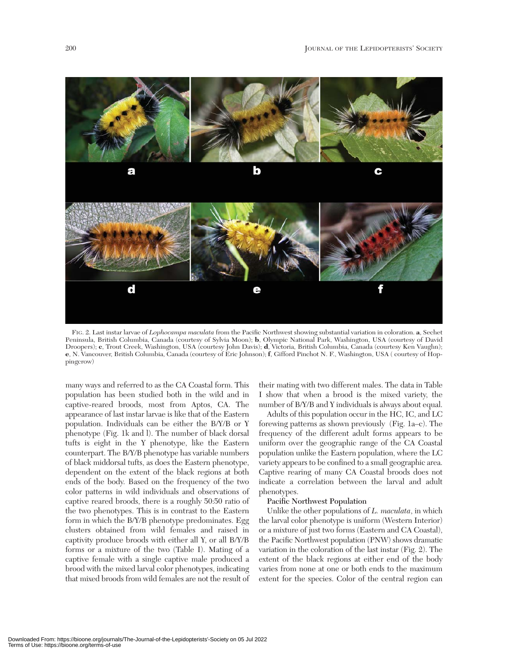

FIG. 2. Last instar larvae of *Lophocampa maculata* from the Pacific Northwest showing substantial variation in coloration. **a**, Sechet Peninsula, British Columbia, Canada (courtesy of Sylvia Moon); **b**, Olympic National Park, Washington, USA (courtesy of David Droopers); **c**, Trout Creek, Washington, USA (courtesy John Davis); **d**, Victoria, British Columbia, Canada (courtesy Ken Vaughn); **e**, N. Vancouver, British Columbia, Canada (courtesy of Eric Johnson); **f**, Gifford Pinchot N. F., Washington, USA ( courtesy of Hoppingcrow)

many ways and referred to as the CA Coastal form. This population has been studied both in the wild and in captive-reared broods, most from Aptos, CA. The appearance of last instar larvae is like that of the Eastern population. Individuals can be either the B/Y/B or Y phenotype (Fig. 1k and l). The number of black dorsal tufts is eight in the Y phenotype, like the Eastern counterpart. The B/Y/B phenotype has variable numbers of black middorsal tufts, as does the Eastern phenotype, dependent on the extent of the black regions at both ends of the body. Based on the frequency of the two color patterns in wild individuals and observations of captive reared broods, there is a roughly 50:50 ratio of the two phenotypes. This is in contrast to the Eastern form in which the B/Y/B phenotype predominates. Egg clusters obtained from wild females and raised in captivity produce broods with either all Y, or all B/Y/B forms or a mixture of the two (Table I). Mating of a captive female with a single captive male produced a brood with the mixed larval color phenotypes, indicating that mixed broods from wild females are not the result of their mating with two different males. The data in Table I show that when a brood is the mixed variety, the number of B/Y/B and Y individuals is always about equal.

Adults of this population occur in the HC, IC, and LC forewing patterns as shown previously (Fig. 1a–c). The frequency of the different adult forms appears to be uniform over the geographic range of the CA Coastal population unlike the Eastern population, where the LC variety appears to be confined to a small geographic area. Captive rearing of many CA Coastal broods does not indicate a correlation between the larval and adult phenotypes.

## **Pacific Northwest Population**

Unlike the other populations of *L. maculata*, in which the larval color phenotype is uniform (Western Interior) or a mixture of just two forms (Eastern and CA Coastal), the Pacific Northwest population (PNW) shows dramatic variation in the coloration of the last instar (Fig. 2). The extent of the black regions at either end of the body varies from none at one or both ends to the maximum extent for the species. Color of the central region can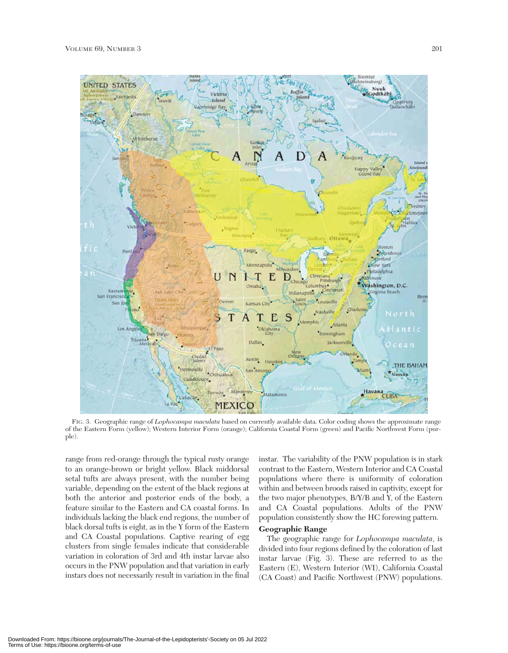

FIG. 3. Geographic range of *Lophocampa maculata* based on currently available data. Color coding shows the approximate range of the Eastern Form (yellow); Western Interior Form (orange); California Coastal Form (green) and Pacific Northwest Form (purple).

range from red-orange through the typical rusty orange to an orange-brown or bright yellow. Black middorsal setal tufts are always present, with the number being variable, depending on the extent of the black regions at both the anterior and posterior ends of the body, a feature similar to the Eastern and CA coastal forms. In individuals lacking the black end regions, the number of black dorsal tufts is eight, as in the Y form of the Eastern and CA Coastal populations. Captive rearing of egg clusters from single females indicate that considerable variation in coloration of 3rd and 4th instar larvae also occurs in the PNW population and that variation in early instars does not necessarily result in variation in the final

instar. The variability of the PNW population is in stark contrast to the Eastern, Western Interior and CA Coastal populations where there is uniformity of coloration within and between broods raised in captivity, except for the two major phenotypes, B/Y/B and Y, of the Eastern and CA Coastal populations. Adults of the PNW population consistently show the HC forewing pattern.

# **Geographic Range**

The geographic range for *Lophocampa maculata*, is divided into four regions defined by the coloration of last instar larvae (Fig. 3). These are referred to as the Eastern (E), Western Interior (WI), California Coastal (CA Coast) and Pacific Northwest (PNW) populations.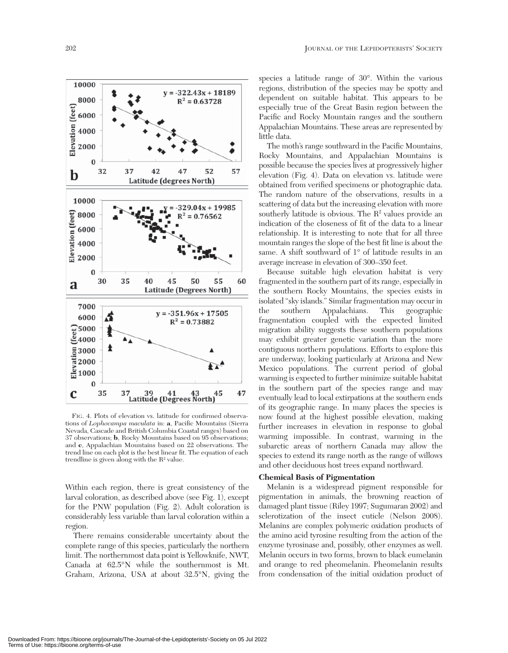

FIG. 4. Plots of elevation vs. latitude for confirmed observations of *Lophocampa maculata* in: **a**, Pacific Mountains (Sierra Nevada, Cascade and British Columbia Coastal ranges) based on 37 observations; **b**, Rocky Mountains based on 95 observations; and **c**, Appalachian Mountains based on 22 observations. The trend line on each plot is the best linear fit. The equation of each trendline is given along with the  $\mathrm{R}^2$  value.

Within each region, there is great consistency of the larval coloration, as described above (see Fig. 1), except for the PNW population (Fig. 2). Adult coloration is considerably less variable than larval coloration within a region.

There remains considerable uncertainty about the complete range of this species, particularly the northern limit. The northernmost data point is Yellowknife, NWT, Canada at 62.5°N while the southernmost is Mt. Graham, Arizona, USA at about 32.5°N, giving the

species a latitude range of 30°. Within the various regions, distribution of the species may be spotty and dependent on suitable habitat. This appears to be especially true of the Great Basin region between the Pacific and Rocky Mountain ranges and the southern Appalachian Mountains. These areas are represented by little data.

The moth's range southward in the Pacific Mountains, Rocky Mountains, and Appalachian Mountains is possible because the species lives at progressively higher elevation (Fig. 4). Data on elevation vs. latitude were obtained from verified specimens or photographic data. The random nature of the observations, results in a scattering of data but the increasing elevation with more southerly latitude is obvious. The  $R<sup>2</sup>$  values provide an indication of the closeness of fit of the data to a linear relationship. It is interesting to note that for all three mountain ranges the slope of the best fit line is about the same. A shift southward of 1° of latitude results in an average increase in elevation of 300–350 feet.

Because suitable high elevation habitat is very fragmented in the southern part of its range, especially in the southern Rocky Mountains, the species exists in isolated "sky islands." Similar fragmentation may occur in the southern Appalachians. This geographic fragmentation coupled with the expected limited migration ability suggests these southern populations may exhibit greater genetic variation than the more contiguous northern populations. Efforts to explore this are underway, looking particularly at Arizona and New Mexico populations. The current period of global warming is expected to further minimize suitable habitat in the southern part of the species range and may eventually lead to local extirpations at the southern ends of its geographic range. In many places the species is now found at the highest possible elevation, making further increases in elevation in response to global warming impossible. In contrast, warming in the subarctic areas of northern Canada may allow the species to extend its range north as the range of willows and other deciduous host trees expand northward.

## **Chemical Basis of Pigmentation**

Melanin is a widespread pigment responsible for pigmentation in animals, the browning reaction of damaged plant tissue (Riley 1997; Sugumaran 2002) and sclerotization of the insect cuticle (Nelson 2008). Melanins are complex polymeric oxidation products of the amino acid tyrosine resulting from the action of the enzyme tyrosinase and, possibly, other enzymes as well. Melanin occurs in two forms, brown to black eumelanin and orange to red pheomelanin. Pheomelanin results from condensation of the initial oxidation product of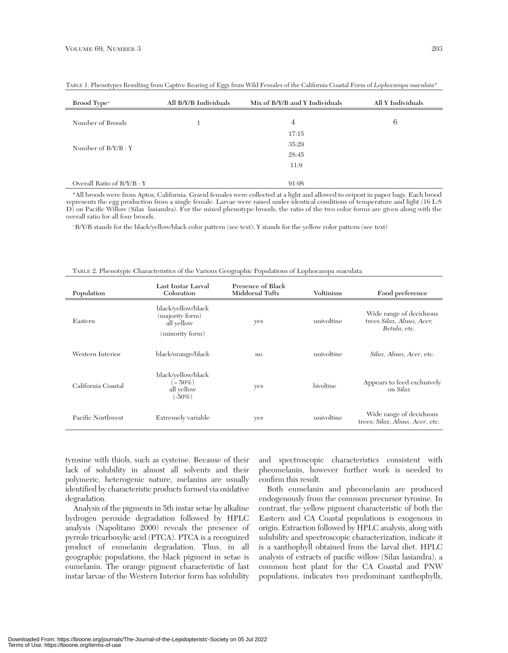| Brood Type <sup>+</sup>   | All B/Y/B Individuals | Mix of B/Y/B and Y Individuals | All Y Individuals |
|---------------------------|-----------------------|--------------------------------|-------------------|
| Number of Broods          |                       | 4                              | 6                 |
|                           |                       | 17:15                          |                   |
| Number of $B/Y/B:Y$       |                       | 35:29                          |                   |
|                           |                       | 28:45                          |                   |
|                           |                       | 11:9                           |                   |
|                           |                       |                                |                   |
| Overall Ratio of B/Y/B: Y |                       | 91:98                          |                   |

TABLE 1. Phenotypes Resulting from Captive Rearing of Eggs from Wild Females of the California Coastal Form of *Lophocampa maculata*\*

\*All broods were from Aptos, California. Gravid females were collected at a light and allowed to ovipost in paper bags. Each brood represents the egg production from a single female. Larvae were raised under identical conditions of temperature and light (16 L:8 D) on Pacific Willow (Silax lasiandra). For the mixed phenotype broods, the ratio of the two color forms are given along with the overall ratio for all four broods.

+B/Y/B stands for the black/yellow/black color pattern (see text); Y stands for the yellow color pattern (see text)

| Population         | Last Instar Larval<br>Coloration                                       | <b>Presence of Black</b><br>Middorsal Tufts | Voltinism  | Food preference                                                      |
|--------------------|------------------------------------------------------------------------|---------------------------------------------|------------|----------------------------------------------------------------------|
| Eastern            | black/yellow/black<br>(majority form)<br>all yellow<br>(minority form) | yes                                         | univoltine | Wide range of deciduous<br>trees Silax, Alnus, Acer,<br>Betula, etc. |
| Western Interior   | black/orange/black                                                     | $\mathbf{no}$                               | univoltine | Silax, Alnus, Acer, etc.                                             |
| California Coastal | black/yellow/black<br>$({\sim}\,50\%)$<br>all yellow<br>$(-50\%)$      | yes                                         | bivoltine  | Appears to feed exclusively<br>on Silax                              |
| Pacific Northwest  | Extremely variable                                                     | yes                                         | univoltine | Wide range of deciduous<br>trees: Silax, Alnus, Acer, etc.           |

| TABLE 2. Phenotypic Characteristics of the Various Geographic Populations of Lophocampa maculata |  |  |
|--------------------------------------------------------------------------------------------------|--|--|
|                                                                                                  |  |  |

tyrosine with thiols, such as cysteine. Because of their lack of solubility in almost all solvents and their polymeric, heterogenic nature, melanins are usually identified by characteristic products formed via oxidative degradation.

Analysis of the pigments in 5th instar setae by alkaline hydrogen peroxide degradation followed by HPLC analysis (Napolitano 2000) reveals the presence of pyrrole tricarboxylic acid (PTCA). PTCA is a recognized product of eumelanin degradation. Thus, in all geographic populations, the black pigment in setae is eumelanin. The orange pigment characteristic of last instar larvae of the Western Interior form has solubility

and spectroscopic characteristics consistent with pheomelanin, however further work is needed to confirm this result.

Both eumelanin and pheomelanin are produced endogenously from the common precursor tyrosine. In contrast, the yellow pigment characteristic of both the Eastern and CA Coastal populations is exogenous in origin. Extraction followed by HPLC analysis, along with solubility and spectroscopic characterization, indicate it is a xanthophyll obtained from the larval diet. HPLC analysis of extracts of pacific willow (Silax lasiandra), a common host plant for the CA Coastal and PNW populations, indicates two predominant xanthophylls,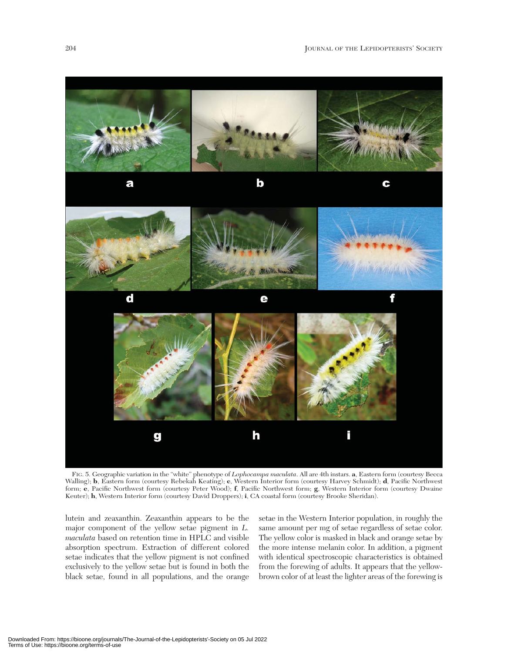

FIG. 5. Geographic variation in the "white" phenotype of *Lophocampa maculata*. All are 4th instars. **a**, Eastern form (courtesy Becca Walling); **b**, Eastern form (courtesy Rebekah Keating); **c**, Western Interior form (courtesy Harvey Schmidt); **d**, Pacific Northwest form; **e**, Pacific Northwest form (courtesy Peter Wood); **f**, Pacific Northwest form; **g**, Western Interior form (courtesy Dwaine Keuter); **h**, Western Interior form (courtesy David Droppers); **i**, CA coastal form (courtesy Brooke Sheridan).

lutein and zeaxanthin. Zeaxanthin appears to be the major component of the yellow setae pigment in *L. maculata* based on retention time in HPLC and visible absorption spectrum. Extraction of different colored setae indicates that the yellow pigment is not confined exclusively to the yellow setae but is found in both the black setae, found in all populations, and the orange

setae in the Western Interior population, in roughly the same amount per mg of setae regardless of setae color. The yellow color is masked in black and orange setae by the more intense melanin color. In addition, a pigment with identical spectroscopic characteristics is obtained from the forewing of adults. It appears that the yellowbrown color of at least the lighter areas of the forewing is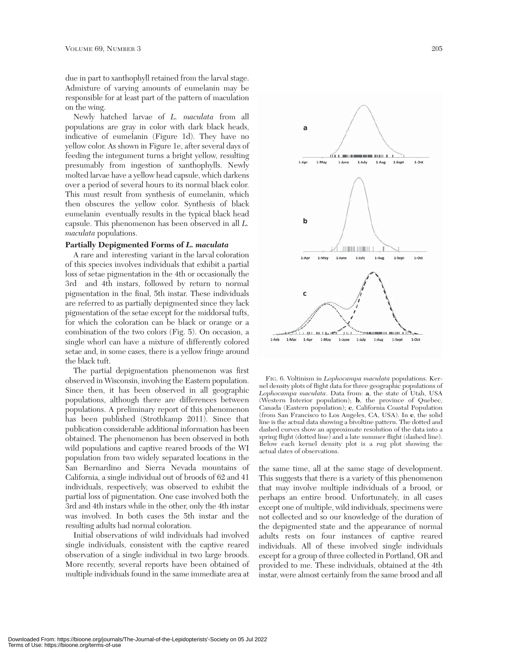due in part to xanthophyll retained from the larval stage. Admixture of varying amounts of eumelanin may be responsible for at least part of the pattern of maculation on the wing.

Newly hatched larvae of *L. maculata* from all populations are gray in color with dark black heads, indicative of eumelanin (Figure 1d). They have no yellow color. As shown in Figure 1e, after several days of feeding the integument turns a bright yellow, resulting presumably from ingestion of xanthophylls. Newly molted larvae have a yellow head capsule, which darkens over a period of several hours to its normal black color. This must result from synthesis of eumelanin, which then obscures the yellow color. Synthesis of black eumelanin eventually results in the typical black head capsule. This phenomenon has been observed in all *L. maculata* populations.

#### **Partially Depigmented Forms of** *L. maculata*

A rare and interesting variant in the larval coloration of this species involves individuals that exhibit a partial loss of setae pigmentation in the 4th or occasionally the 3rd and 4th instars, followed by return to normal pigmentation in the final, 5th instar. These individuals are referred to as partially depigmented since they lack pigmentation of the setae except for the middorsal tufts, for which the coloration can be black or orange or a combination of the two colors (Fig. 5). On occasion, a single whorl can have a mixture of differently colored setae and, in some cases, there is a yellow fringe around the black tuft.

The partial depigmentation phenomenon was first observed in Wisconsin, involving the Eastern population. Since then, it has been observed in all geographic populations, although there are differences between populations. A preliminary report of this phenomenon has been published (Strothkamp 2011). Since that publication considerable additional information has been obtained. The phenomenon has been observed in both wild populations and captive reared broods of the WI population from two widely separated locations in the San Bernardino and Sierra Nevada mountains of California, a single individual out of broods of 62 and 41 individuals, respectively, was observed to exhibit the partial loss of pigmentation. One case involved both the 3rd and 4th instars while in the other, only the 4th instar was involved. In both cases the 5th instar and the resulting adults had normal coloration.

Initial observations of wild individuals had involved single individuals, consistent with the captive reared observation of a single individual in two large broods. More recently, several reports have been obtained of multiple individuals found in the same immediate area at



FIG. 6. Voltinism in *Lophocampa maculata* populations. Kernel density plots of flight data for three geographic populations of *Lophocampa maculata*. Data from: **a**, the state of Utah, USA (Western Interior population); **b**, the province of Quebec, Canada (Eastern population); **c**, California Coastal Population (from San Francisco to Los Angeles, CA, USA). In **c**, the solid line is the actual data showing a bivoltine pattern. The dotted and dashed curves show an approximate resolution of the data into a spring flight (dotted line) and a late summer flight (dashed line). Below each kernel density plot is a rug plot showing the actual dates of observations.

the same time, all at the same stage of development. This suggests that there is a variety of this phenomenon that may involve multiple individuals of a brood, or perhaps an entire brood. Unfortunately, in all cases except one of multiple, wild individuals, specimens were not collected and so our knowledge of the duration of the depigmented state and the appearance of normal adults rests on four instances of captive reared individuals. All of these involved single individuals except for a group of three collected in Portland, OR and provided to me. These individuals, obtained at the 4th instar, were almost certainly from the same brood and all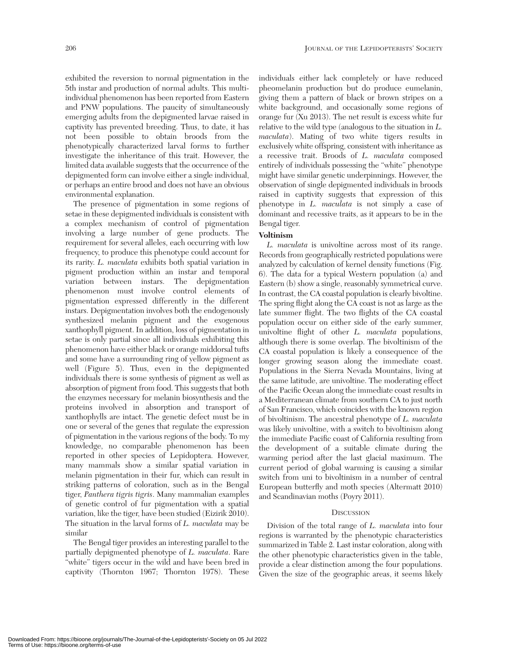exhibited the reversion to normal pigmentation in the 5th instar and production of normal adults. This multiindividual phenomenon has been reported from Eastern and PNW populations. The paucity of simultaneously emerging adults from the depigmented larvae raised in captivity has prevented breeding. Thus, to date, it has not been possible to obtain broods from the phenotypically characterized larval forms to further investigate the inheritance of this trait. However, the limited data available suggests that the occurrence of the depigmented form can involve either a single individual, or perhaps an entire brood and does not have an obvious environmental explanation.

The presence of pigmentation in some regions of setae in these depigmented individuals is consistent with a complex mechanism of control of pigmentation involving a large number of gene products. The requirement for several alleles, each occurring with low frequency, to produce this phenotype could account for its rarity. *L. maculata* exhibits both spatial variation in pigment production within an instar and temporal variation between instars. The depigmentation phenomenon must involve control elements of pigmentation expressed differently in the different instars. Depigmentation involves both the endogenously synthesized melanin pigment and the exogenous xanthophyll pigment. In addition, loss of pigmentation in setae is only partial since all individuals exhibiting this phenomenon have either black or orange middorsal tufts and some have a surrounding ring of yellow pigment as well (Figure 5). Thus, even in the depigmented individuals there is some synthesis of pigment as well as absorption of pigment from food. This suggests that both the enzymes necessary for melanin biosynthesis and the proteins involved in absorption and transport of xanthophylls are intact. The genetic defect must be in one or several of the genes that regulate the expression of pigmentation in the various regions of the body. To my knowledge, no comparable phenomenon has been reported in other species of Lepidoptera. However, many mammals show a similar spatial variation in melanin pigmentation in their fur, which can result in striking patterns of coloration, such as in the Bengal tiger, *Panthera tigris tigris*. Many mammalian examples of genetic control of fur pigmentation with a spatial variation, like the tiger, have been studied (Eizirik 2010). The situation in the larval forms of *L. maculata* may be similar

The Bengal tiger provides an interesting parallel to the partially depigmented phenotype of *L. maculata*. Rare "white" tigers occur in the wild and have been bred in captivity (Thornton 1967; Thornton 1978). These individuals either lack completely or have reduced pheomelanin production but do produce eumelanin, giving them a pattern of black or brown stripes on a white background, and occasionally some regions of orange fur (Xu 2013). The net result is excess white fur relative to the wild type (analogous to the situation in *L. maculata*). Mating of two white tigers results in exclusively white offspring, consistent with inheritance as a recessive trait. Broods of *L. maculata* composed entirely of individuals possessing the "white" phenotype might have similar genetic underpinnings. However, the observation of single depigmented individuals in broods raised in captivity suggests that expression of this phenotype in *L. maculata* is not simply a case of dominant and recessive traits, as it appears to be in the Bengal tiger.

# **Voltinism**

*L. maculata* is univoltine across most of its range. Records from geographically restricted populations were analyzed by calculation of kernel density functions (Fig. 6). The data for a typical Western population (a) and Eastern (b) show a single, reasonably symmetrical curve. In contrast, the CA coastal population is clearly bivoltine. The spring flight along the CA coast is not as large as the late summer flight. The two flights of the CA coastal population occur on either side of the early summer, univoltine flight of other *L. maculata* populations, although there is some overlap. The bivoltinism of the CA coastal population is likely a consequence of the longer growing season along the immediate coast. Populations in the Sierra Nevada Mountains, living at the same latitude, are univoltine. The moderating effect of the Pacific Ocean along the immediate coast results in a Mediterranean climate from southern CA to just north of San Francisco, which coincides with the known region of bivoltinism. The ancestral phenotype of *L. maculata* was likely univoltine, with a switch to bivoltinism along the immediate Pacific coast of California resulting from the development of a suitable climate during the warming period after the last glacial maximum. The current period of global warming is causing a similar switch from uni to bivoltinism in a number of central European butterfly and moth species (Altermatt 2010) and Scandinavian moths (Poyry 2011).

## **DISCUSSION**

Division of the total range of *L. maculata* into four regions is warranted by the phenotypic characteristics summarized in Table 2. Last instar coloration, along with the other phenotypic characteristics given in the table, provide a clear distinction among the four populations. Given the size of the geographic areas, it seems likely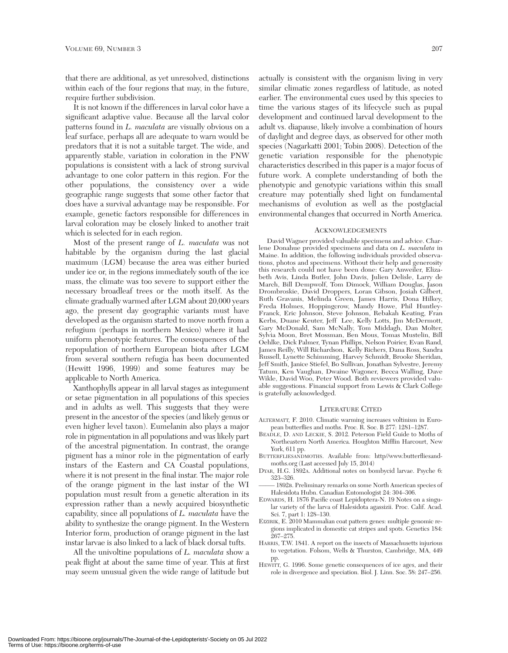that there are additional, as yet unresolved, distinctions within each of the four regions that may, in the future, require further subdivision.

It is not known if the differences in larval color have a significant adaptive value. Because all the larval color patterns found in *L. maculata* are visually obvious on a leaf surface, perhaps all are adequate to warn would be predators that it is not a suitable target. The wide, and apparently stable, variation in coloration in the PNW populations is consistent with a lack of strong survival advantage to one color pattern in this region. For the other populations, the consistency over a wide geographic range suggests that some other factor that does have a survival advantage may be responsible. For example, genetic factors responsible for differences in larval coloration may be closely linked to another trait which is selected for in each region.

Most of the present range of *L. maculata* was not habitable by the organism during the last glacial maximum (LGM) because the area was either buried under ice or, in the regions immediately south of the ice mass, the climate was too severe to support either the necessary broadleaf trees or the moth itself. As the climate gradually warmed after LGM about 20,000 years ago, the present day geographic variants must have developed as the organism started to move north from a refugium (perhaps in northern Mexico) where it had uniform phenotypic features. The consequences of the repopulation of northern European biota after LGM from several southern refugia has been documented (Hewitt 1996, 1999) and some features may be applicable to North America.

Xanthophylls appear in all larval stages as integument or setae pigmentation in all populations of this species and in adults as well. This suggests that they were present in the ancestor of the species (and likely genus or even higher level taxon). Eumelanin also plays a major role in pigmentation in all populations and was likely part of the ancestral pigmentation. In contrast, the orange pigment has a minor role in the pigmentation of early instars of the Eastern and CA Coastal populations, where it is not present in the final instar. The major role of the orange pigment in the last instar of the WI population must result from a genetic alteration in its expression rather than a newly acquired biosynthetic capability, since all populations of *L. maculata* have the ability to synthesize the orange pigment. In the Western Interior form, production of orange pigment in the last instar larvae is also linked to a lack of black dorsal tufts.

All the univoltine populations of *L. maculata* show a peak flight at about the same time of year. This at first may seem unusual given the wide range of latitude but

actually is consistent with the organism living in very similar climatic zones regardless of latitude, as noted earlier. The environmental cues used by this species to time the various stages of its lifecycle such as pupal development and continued larval development to the adult vs. diapause, likely involve a combination of hours of daylight and degree days, as observed for other moth species (Nagarkatti 2001; Tobin 2008). Detection of the genetic variation responsible for the phenotypic characteristics described in this paper is a major focus of future work. A complete understanding of both the phenotypic and genotypic variations within this small creature may potentially shed light on fundamental mechanisms of evolution as well as the postglacial environmental changes that occurred in North America.

#### ACKNOWLEDGEMENTS

David Wagner provided valuable specimens and advice. Charlene Donahue provided specimens and data on *L. maculata* in Maine. In addition, the following individuals provided observations, photos and specimens. Without their help and generosity this research could not have been done: Gary Anweiler, Elizabeth Avis, Linda Butler, John Davis, Julien Delisle, Larry de March, Bill Dempwolf, Tom Dimock, William Douglas, Jason Drombroskie, David Droppers, Loran Gibson, Josiah Gilbert, Ruth Gravanis, Melinda Green, James Harris, Dona Hilkey, Freda Holmes, Hoppingcrow, Mandy Howe, Phil Huntley-Franck, Eric Johnson, Steve Johnson, Rebakah Keating, Fran Kerbs, Duane Keuter, Jeff Lee, Kelly Lotts, Jim McDermott, Gary McDonald, Sam McNally, Tom Middagh, Dan Molter, Sylvia Moon, Bret Mossman, Ben Mous, Tomas Mustelin, Bill Oehlke, Dick Palmer, Tynan Phillips, Nelson Poirier, Evan Rand, James Reilly, Will Richardson, Kelly Richers, Dana Ross, Sandra Russell, Lynette Schimming, Harvey Schmidt, Brooke Sheridan, Jeff Smith, Janice Stiefel, Bo Sullivan, Jonathan Sylvestre, Jeremy Tatum, Ken Vaughan, Dwaine Wagoner, Becca Walling, Dave Wikle, David Woo, Peter Wood. Both reviewers provided valuable suggestions. Financial support from Lewis  $\&$  Clark College is gratefully acknowledged.

#### LITERATURE CITED

- ALTERMATT, F. 2010. Climatic warming increases voltinism in European butterflies and moths. Proc. R. Soc. B 277: 1281–1287.
- BEADLE, D. AND LECKIE, S. 2012. Peterson Field Guide to Moths of Northeastern North America. Houghton Mifflin Harcourt, New York, 611 pp.
- BUTTERFLIESANDMOTHS. Available from: http//www.butterfliesandmoths.org (Last accessed July 15, 2014)
- DYAR, H.G. 1892A. Additional notes on bombycid larvae. Psyche 6: 323–326.
- ––––– 1892B. Preliminary remarks on some North American species of Halesidota Hubn. Canadian Entomologist 24: 304–306.
- EDWARDS, H. 1876 Pacific coast Lepidoptera-N. 19 Notes on a singular variety of the larva of Halesidota agassizii. Proc. Calif. Acad. Sci. 7, part 1: 128–130.
- EIZIRIK, E. 2010 Mammalian coat pattern genes: multiple genomic regions implicated in domestic cat stripes and spots. Genetics 184: 267–275.
- HARRIS, T.W. 1841. A report on the insects of Massachusetts injurious to vegetation. Folsom, Wells & Thurston, Cambridge, MA, 449 pp.
- HEWITT, G. 1996. Some genetic consequences of ice ages, and their role in divergence and speciation. Biol. J. Linn. Soc. 58: 247–256.